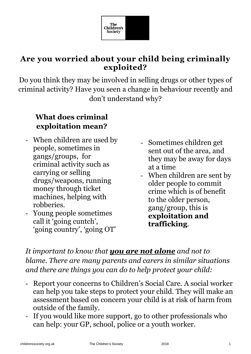

## **Are you worried about your child being criminally exploited?**

Do you think they may be involved in selling drugs or other types of criminal activity? Have you seen a change in behaviour recently and don't understand why?

## **What does criminal exploitation mean?**

- When children are used by people, sometimes in gangs/groups, for criminal activity such as carrying or selling drugs/weapons, running money through ticket machines, helping with robberies.
- Young people sometimes call it 'going cuntch', 'going country', 'going OT'
- Sometimes children get sent out of the area, and they may be away for days at a time
- When children are sent by older people to commit crime which is of benefit to the older person, gang/group, this is **exploitation and trafficking**.

*It important to know that you are not alone and not to blame. There are many parents and carers in similar situations and there are things you can do to help protect your child:*

- Report your concerns to Children's Social Care. A social worker can help you take steps to protect your child. They will make an assessment based on concern your child is at risk of harm from outside of the family.
- If you would like more support, go to other professionals who can help: your GP, school, police or a youth worker.